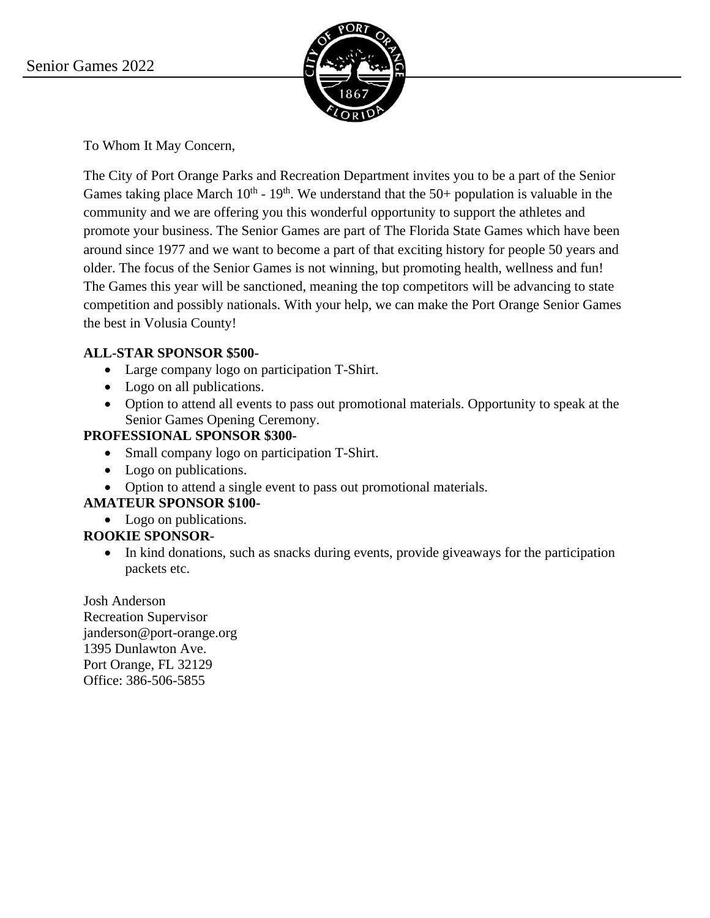

To Whom It May Concern,

The City of Port Orange Parks and Recreation Department invites you to be a part of the Senior Games taking place March  $10^{th}$  -  $19^{th}$ . We understand that the 50+ population is valuable in the community and we are offering you this wonderful opportunity to support the athletes and promote your business. The Senior Games are part of The Florida State Games which have been around since 1977 and we want to become a part of that exciting history for people 50 years and older. The focus of the Senior Games is not winning, but promoting health, wellness and fun! The Games this year will be sanctioned, meaning the top competitors will be advancing to state competition and possibly nationals. With your help, we can make the Port Orange Senior Games the best in Volusia County!

### **ALL-STAR SPONSOR \$500-**

- Large company logo on participation T-Shirt.
- Logo on all publications.
- Option to attend all events to pass out promotional materials. Opportunity to speak at the Senior Games Opening Ceremony.

### **PROFESSIONAL SPONSOR \$300-**

- Small company logo on participation T-Shirt.
- Logo on publications.
- Option to attend a single event to pass out promotional materials.

# **AMATEUR SPONSOR \$100-**

• Logo on publications.

# **ROOKIE SPONSOR-**

• In kind donations, such as snacks during events, provide giveaways for the participation packets etc.

Josh Anderson Recreation Supervisor janderson@port-orange.org 1395 Dunlawton Ave. Port Orange, FL 32129 Office: 386-506-5855